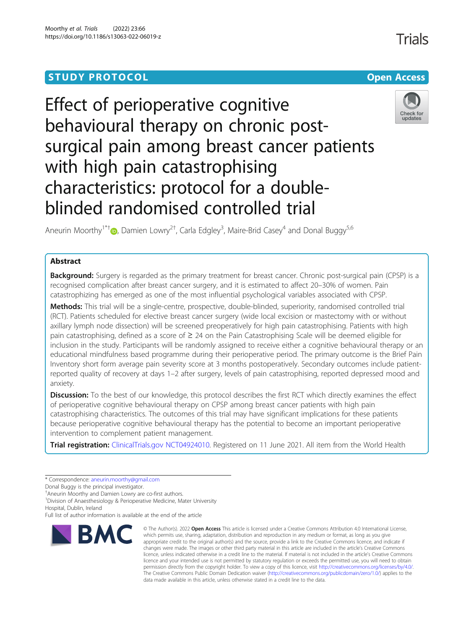## **STUDY PROTOCOL CONSUMING THE CONSUMING OPEN ACCESS**

# Effect of perioperative cognitive behavioural therapy on chronic postsurgical pain among breast cancer patients with high pain catastrophising characteristics: protocol for a doubleblinded randomised controlled trial



Trials

Aneurin Moorthy<sup>1\*†</sup> D[,](http://orcid.org/0000-0001-7325-8908) Damien Lowry<sup>2†</sup>, Carla Edgley<sup>3</sup>, Maire-Brid Casey<sup>4</sup> and Donal Buggy<sup>5,6</sup>

## Abstract

Background: Surgery is regarded as the primary treatment for breast cancer. Chronic post-surgical pain (CPSP) is a recognised complication after breast cancer surgery, and it is estimated to affect 20–30% of women. Pain catastrophizing has emerged as one of the most influential psychological variables associated with CPSP.

Methods: This trial will be a single-centre, prospective, double-blinded, superiority, randomised controlled trial (RCT). Patients scheduled for elective breast cancer surgery (wide local excision or mastectomy with or without axillary lymph node dissection) will be screened preoperatively for high pain catastrophising. Patients with high pain catastrophising, defined as a score of ≥ 24 on the Pain Catastrophising Scale will be deemed eligible for inclusion in the study. Participants will be randomly assigned to receive either a cognitive behavioural therapy or an educational mindfulness based programme during their perioperative period. The primary outcome is the Brief Pain Inventory short form average pain severity score at 3 months postoperatively. Secondary outcomes include patientreported quality of recovery at days 1–2 after surgery, levels of pain catastrophising, reported depressed mood and anxiety.

Discussion: To the best of our knowledge, this protocol describes the first RCT which directly examines the effect of perioperative cognitive behavioural therapy on CPSP among breast cancer patients with high pain catastrophising characteristics. The outcomes of this trial may have significant implications for these patients because perioperative cognitive behavioural therapy has the potential to become an important perioperative intervention to complement patient management.

Trial registration: [ClinicalTrials.gov](http://clinicaltrials.gov) [NCT04924010](https://clinicaltrials.gov/ct2/show/NCT04924010). Registered on 11 June 2021. All item from the World Health

<sup>1</sup> Division of Anaesthesiology & Perioperative Medicine, Mater University

Hospital, Dublin, Ireland

Full list of author information is available at the end of the article



<sup>©</sup> The Author(s), 2022 **Open Access** This article is licensed under a Creative Commons Attribution 4.0 International License, which permits use, sharing, adaptation, distribution and reproduction in any medium or format, as long as you give appropriate credit to the original author(s) and the source, provide a link to the Creative Commons licence, and indicate if changes were made. The images or other third party material in this article are included in the article's Creative Commons licence, unless indicated otherwise in a credit line to the material. If material is not included in the article's Creative Commons licence and your intended use is not permitted by statutory regulation or exceeds the permitted use, you will need to obtain permission directly from the copyright holder. To view a copy of this licence, visit [http://creativecommons.org/licenses/by/4.0/.](http://creativecommons.org/licenses/by/4.0/) The Creative Commons Public Domain Dedication waiver [\(http://creativecommons.org/publicdomain/zero/1.0/](http://creativecommons.org/publicdomain/zero/1.0/)) applies to the data made available in this article, unless otherwise stated in a credit line to the data.

<sup>\*</sup> Correspondence: [aneurin.moorthy@gmail.com](mailto:aneurin.moorthy@gmail.com)

Donal Buggy is the principal investigator.

<sup>†</sup> Aneurin Moorthy and Damien Lowry are co-first authors.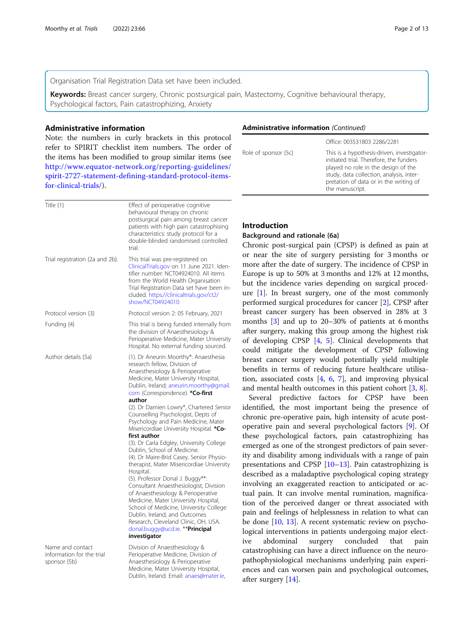Organisation Trial Registration Data set have been included.

Keywords: Breast cancer surgery, Chronic postsurgical pain, Mastectomy, Cognitive behavioural therapy, Psychological factors, Pain catastrophizing, Anxiety

## Administrative information

Note: the numbers in curly brackets in this protocol refer to SPIRIT checklist item numbers. The order of the items has been modified to group similar items (see [http://www.equator-network.org/reporting-guidelines/](http://www.equator-network.org/reporting-guidelines/spirit-2727-statement-defining-standard-protocol-items-for-clinical-trials/) [spirit-2727-statement-defining-standard-protocol-items](http://www.equator-network.org/reporting-guidelines/spirit-2727-statement-defining-standard-protocol-items-for-clinical-trials/)[for-clinical-trials/](http://www.equator-network.org/reporting-guidelines/spirit-2727-statement-defining-standard-protocol-items-for-clinical-trials/)).

| Title $\{1\}$                                                 | Effect of perioperative cognitive<br>behavioural therapy on chronic<br>postsurgical pain among breast cancer<br>patients with high pain catastrophising<br>characteristics: study protocol for a<br>double-blinded randomised controlled<br>trial.                                                                                                                                                                                                                                                                                                                                                                                                                                                                                                                                                                                                                                                                                             |
|---------------------------------------------------------------|------------------------------------------------------------------------------------------------------------------------------------------------------------------------------------------------------------------------------------------------------------------------------------------------------------------------------------------------------------------------------------------------------------------------------------------------------------------------------------------------------------------------------------------------------------------------------------------------------------------------------------------------------------------------------------------------------------------------------------------------------------------------------------------------------------------------------------------------------------------------------------------------------------------------------------------------|
| Trial registration {2a and 2b}.                               | This trial was pre-registered on<br>ClinicalTrials.gov on 11 June 2021. Iden-<br>tifier number: NCT04924010. All items<br>from the World Health Organisation<br>Trial Registration Data set have been in-<br>cluded. https://clinicaltrials.gov/ct2/<br>show/NCT04924010                                                                                                                                                                                                                                                                                                                                                                                                                                                                                                                                                                                                                                                                       |
| Protocol version {3}                                          | Protocol version 2: 05 February, 2021                                                                                                                                                                                                                                                                                                                                                                                                                                                                                                                                                                                                                                                                                                                                                                                                                                                                                                          |
| Funding {4}                                                   | This trial is being funded internally from<br>the division of Anaesthesiology &<br>Perioperative Medicine, Mater University<br>Hospital. No external funding sourced.                                                                                                                                                                                                                                                                                                                                                                                                                                                                                                                                                                                                                                                                                                                                                                          |
| Author details {5a}                                           | (1). Dr Aneurin Moorthy*: Anaesthesia<br>research fellow, Division of<br>Anaesthesiology & Perioperative<br>Medicine, Mater University Hospital,<br>Dublin, Ireland; aneurin.moorthy@gmail.<br>com (Correspondence). *Co-first<br>author<br>(2). Dr Damien Lowry*, Chartered Senior<br>Counselling Psychologist, Depts of<br>Psychology and Pain Medicine, Mater<br>Misericordiae University Hospital. *Co-<br>first author<br>(3). Dr Carla Edgley, University College<br>Dublin, School of Medicine.<br>(4). Dr Maire-Brid Casey, Senior Physio-<br>therapist, Mater Misericordiae University<br>Hospital.<br>(5). Professor Donal J. Buggy**:<br>Consultant Anaesthesiologist, Division<br>of Anaesthesiology & Perioperative<br>Medicine, Mater University Hospital,<br>School of Medicine, University College<br>Dublin, Ireland; and Outcomes<br>Research, Cleveland Clinic, OH, USA.<br>donal.buggy@ucd.ie. **Principal<br>investigator |
| Name and contact<br>information for the trial<br>sponsor {5b} | Division of Anaesthesiology &<br>Perioperative Medicine, Division of<br>Anaesthesiology & Perioperative<br>Medicine, Mater University Hospital,<br>Dublin, Ireland. Email: anaes@mater.ie,                                                                                                                                                                                                                                                                                                                                                                                                                                                                                                                                                                                                                                                                                                                                                     |

## Administrative information (Continued)

|                      | Office: 003531803 2286/2281                                                                                                                                                                                                           |
|----------------------|---------------------------------------------------------------------------------------------------------------------------------------------------------------------------------------------------------------------------------------|
| Role of sponsor {5c} | This is a hypothesis-driven, investigator-<br>initiated trial. Therefore, the funders<br>played no role in the design of the<br>study, data collection, analysis, inter-<br>pretation of data or in the writing of<br>the manuscript. |
|                      |                                                                                                                                                                                                                                       |

## Introduction

## Background and rationale {6a}

Chronic post-surgical pain (CPSP) is defined as pain at or near the site of surgery persisting for 3 months or more after the date of surgery. The incidence of CPSP in Europe is up to 50% at 3 months and 12% at 12 months, but the incidence varies depending on surgical procedure [[1\]](#page-11-0). In breast surgery, one of the most commonly performed surgical procedures for cancer [[2\]](#page-11-0), CPSP after breast cancer surgery has been observed in 28% at 3 months [\[3](#page-11-0)] and up to 20–30% of patients at 6 months after surgery, making this group among the highest risk of developing CPSP [[4,](#page-11-0) [5\]](#page-11-0). Clinical developments that could mitigate the development of CPSP following breast cancer surgery would potentially yield multiple benefits in terms of reducing future healthcare utilisation, associated costs [[4](#page-11-0), [6](#page-11-0), [7\]](#page-11-0), and improving physical and mental health outcomes in this patient cohort [\[3](#page-11-0), [8](#page-11-0)].

Several predictive factors for CPSP have been identified, the most important being the presence of chronic pre-operative pain, high intensity of acute postoperative pain and several psychological factors [\[9](#page-11-0)]. Of these psychological factors, pain catastrophizing has emerged as one of the strongest predictors of pain severity and disability among individuals with a range of pain presentations and CPSP [[10](#page-11-0)–[13](#page-11-0)]. Pain catastrophizing is described as a maladaptive psychological coping strategy involving an exaggerated reaction to anticipated or actual pain. It can involve mental rumination, magnification of the perceived danger or threat associated with pain and feelings of helplessness in relation to what can be done [\[10](#page-11-0), [13\]](#page-11-0). A recent systematic review on psychological interventions in patients undergoing major elective abdominal surgery concluded that pain catastrophising can have a direct influence on the neuropathophysiological mechanisms underlying pain experiences and can worsen pain and psychological outcomes, after surgery [\[14](#page-11-0)].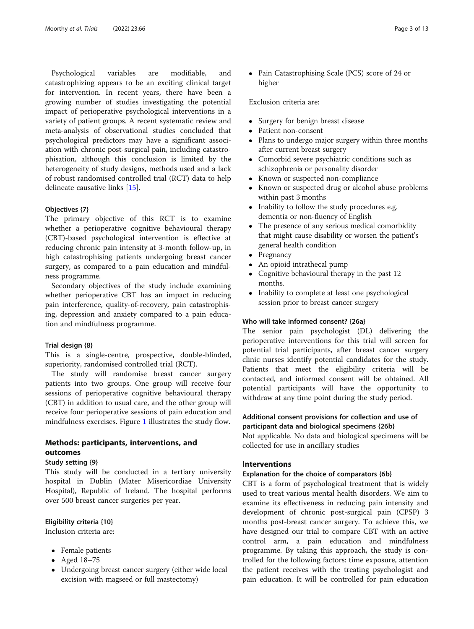Psychological variables are modifiable, and catastrophizing appears to be an exciting clinical target for intervention. In recent years, there have been a growing number of studies investigating the potential impact of perioperative psychological interventions in a variety of patient groups. A recent systematic review and meta-analysis of observational studies concluded that psychological predictors may have a significant association with chronic post-surgical pain, including catastrophisation, although this conclusion is limited by the heterogeneity of study designs, methods used and a lack of robust randomised controlled trial (RCT) data to help delineate causative links [\[15](#page-11-0)].

#### Objectives {7}

The primary objective of this RCT is to examine whether a perioperative cognitive behavioural therapy (CBT)-based psychological intervention is effective at reducing chronic pain intensity at 3-month follow-up, in high catastrophising patients undergoing breast cancer surgery, as compared to a pain education and mindfulness programme.

Secondary objectives of the study include examining whether perioperative CBT has an impact in reducing pain interference, quality-of-recovery, pain catastrophising, depression and anxiety compared to a pain education and mindfulness programme.

#### Trial design {8}

This is a single-centre, prospective, double-blinded, superiority, randomised controlled trial (RCT).

The study will randomise breast cancer surgery patients into two groups. One group will receive four sessions of perioperative cognitive behavioural therapy (CBT) in addition to usual care, and the other group will receive four perioperative sessions of pain education and mindfulness exercises. Figure [1](#page-3-0) illustrates the study flow.

## Methods: participants, interventions, and outcomes

## Study setting {9}

This study will be conducted in a tertiary university hospital in Dublin (Mater Misericordiae University Hospital), Republic of Ireland. The hospital performs over 500 breast cancer surgeries per year.

#### Eligibility criteria {10}

Inclusion criteria are:

- Female patients
- Aged 18–75
- Undergoing breast cancer surgery (either wide local excision with magseed or full mastectomy)

• Pain Catastrophising Scale (PCS) score of 24 or higher

#### Exclusion criteria are:

- Surgery for benign breast disease<br>• Patient non-consent
- Patient non-consent
- Plans to undergo major surgery within three months after current breast surgery
- Comorbid severe psychiatric conditions such as schizophrenia or personality disorder
- Known or suspected non-compliance
- Known or suspected drug or alcohol abuse problems within past 3 months
- Inability to follow the study procedures e.g. dementia or non-fluency of English
- The presence of any serious medical comorbidity that might cause disability or worsen the patient's general health condition
- Pregnancy
- An opioid intrathecal pump
- Cognitive behavioural therapy in the past 12 months.
- Inability to complete at least one psychological session prior to breast cancer surgery

## Who will take informed consent? {26a}

The senior pain psychologist (DL) delivering the perioperative interventions for this trial will screen for potential trial participants, after breast cancer surgery clinic nurses identify potential candidates for the study. Patients that meet the eligibility criteria will be contacted, and informed consent will be obtained. All potential participants will have the opportunity to withdraw at any time point during the study period.

## Additional consent provisions for collection and use of participant data and biological specimens {26b}

Not applicable. No data and biological specimens will be collected for use in ancillary studies

## Interventions

## Explanation for the choice of comparators {6b}

CBT is a form of psychological treatment that is widely used to treat various mental health disorders. We aim to examine its effectiveness in reducing pain intensity and development of chronic post-surgical pain (CPSP) 3 months post-breast cancer surgery. To achieve this, we have designed our trial to compare CBT with an active control arm, a pain education and mindfulness programme. By taking this approach, the study is controlled for the following factors: time exposure, attention the patient receives with the treating psychologist and pain education. It will be controlled for pain education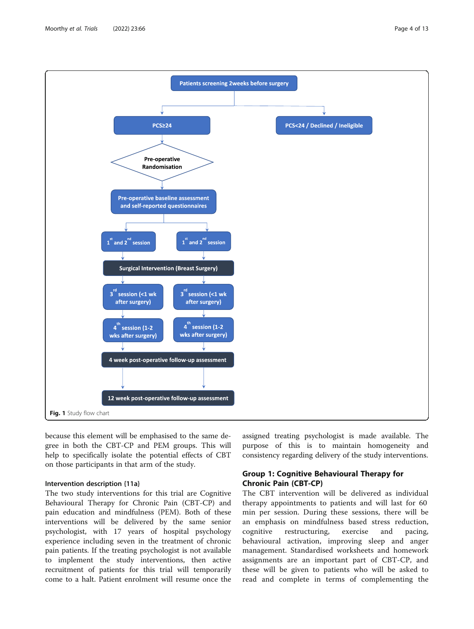<span id="page-3-0"></span>

because this element will be emphasised to the same degree in both the CBT-CP and PEM groups. This will help to specifically isolate the potential effects of CBT on those participants in that arm of the study.

#### Intervention description {11a}

The two study interventions for this trial are Cognitive Behavioural Therapy for Chronic Pain (CBT-CP) and pain education and mindfulness (PEM). Both of these interventions will be delivered by the same senior psychologist, with 17 years of hospital psychology experience including seven in the treatment of chronic pain patients. If the treating psychologist is not available to implement the study interventions, then active recruitment of patients for this trial will temporarily come to a halt. Patient enrolment will resume once the

assigned treating psychologist is made available. The purpose of this is to maintain homogeneity and consistency regarding delivery of the study interventions.

## Group 1: Cognitive Behavioural Therapy for Chronic Pain (CBT-CP)

The CBT intervention will be delivered as individual therapy appointments to patients and will last for 60 min per session. During these sessions, there will be an emphasis on mindfulness based stress reduction, cognitive restructuring, exercise and pacing, behavioural activation, improving sleep and anger management. Standardised worksheets and homework assignments are an important part of CBT-CP, and these will be given to patients who will be asked to read and complete in terms of complementing the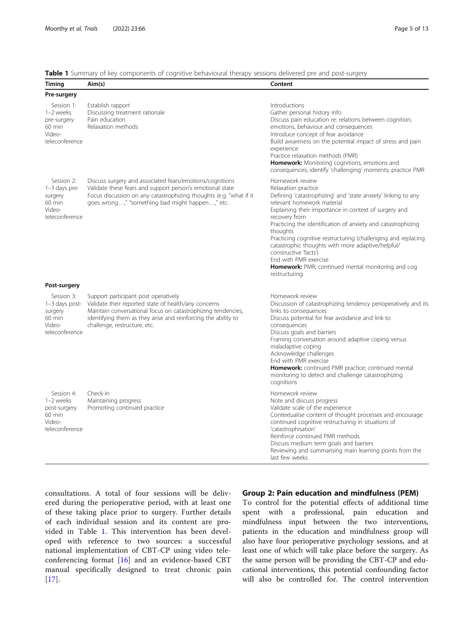**Table 1** Summary of key components of cognitive behavioural therapy sessions delivered pre and post-surgery

| <b>Timing</b>                                                                  | Aim(s)                                                                                                                                                                                                                                                        | Content                                                                                                                                                                                                                                                                                                                                                                                                                                                                                                                                           |
|--------------------------------------------------------------------------------|---------------------------------------------------------------------------------------------------------------------------------------------------------------------------------------------------------------------------------------------------------------|---------------------------------------------------------------------------------------------------------------------------------------------------------------------------------------------------------------------------------------------------------------------------------------------------------------------------------------------------------------------------------------------------------------------------------------------------------------------------------------------------------------------------------------------------|
| Pre-surgery                                                                    |                                                                                                                                                                                                                                                               |                                                                                                                                                                                                                                                                                                                                                                                                                                                                                                                                                   |
| Session 1:<br>1-2 weeks<br>pre-surgery<br>60 min<br>Video-<br>teleconference   | Establish rapport<br>Discussing treatment rationale<br>Pain education<br>Relaxation methods                                                                                                                                                                   | Introductions<br>Gather personal history info<br>Discuss pain education re: relations between cognition,<br>emotions, behaviour and consequences<br>Introduce concept of fear avoidance<br>Build awareness on the potential impact of stress and pain<br>experience<br>Practice relaxation methods (PMR)<br><b>Homework:</b> Monitoring cognitions, emotions and<br>consequences; identify 'challenging' moments; practice PMR                                                                                                                    |
| Session 2:<br>$1-3$ days pre-<br>surgery<br>60 min<br>Video-<br>teleconference | Discuss surgery and associated fears/emotions/cognitions<br>Validate these fears and support person's emotional state<br>Focus discussion on any catastrophizing thoughts (e.g. "what if it<br>goes wrong," "something bad might happen," etc.                | Homework review<br>Relaxation practice<br>Defining 'catastrophizing' and 'state anxiety' linking to any<br>relevant homework material<br>Explaining their importance in context of surgery and<br>recovery from<br>Practicing the identification of anxiety and catastrophizing<br>thoughts<br>Practicing cognitive restructuring (challenging and replacing<br>catastrophic thoughts with more adaptive/helpful/<br>constructive 'facts')<br>End with PMR exercise<br><b>Homework:</b> PMR; continued mental monitoring and cog<br>restructuring |
| Post-surgery                                                                   |                                                                                                                                                                                                                                                               |                                                                                                                                                                                                                                                                                                                                                                                                                                                                                                                                                   |
| Session 3:<br>1-3 days post-<br>surgery<br>60 min<br>Video-<br>teleconference  | Support participant post operatively<br>Validate their reported state of health/any concerns<br>Maintain conversational focus on catastrophizing tendencies,<br>identifying them as they arise and reinforcing the ability to<br>challenge, restructure, etc. | Homework review<br>Discussion of catastrophizing tendency perioperatively and its<br>links to consequences<br>Discuss potential for fear avoidance and link to<br>consequences<br>Discuss goals and barriers<br>Framing conversation around adaptive coping versus<br>maladaptive coping<br>Acknowledge challenges<br>End with PMR exercise<br>Homework: continued PMR practice; continued mental<br>monitoring to detect and challenge catastrophizing<br>cognitions                                                                             |
| Session 4:<br>1-2 weeks<br>post-surgery<br>60 min<br>Video-<br>teleconference  | Check-in<br>Maintaining progress<br>Promoting continued practice                                                                                                                                                                                              | Homework review<br>Note and discuss progress<br>Validate scale of the experience<br>Contextualise content of thought processes and encourage<br>continued cognitive restructuring in situations of<br>'catastrophisation'<br>Reinforce continued PMR methods<br>Discuss medium term goals and barriers<br>Reviewing and summarising main learning points from the<br>last few weeks                                                                                                                                                               |

consultations. A total of four sessions will be delivered during the perioperative period, with at least one of these taking place prior to surgery. Further details of each individual session and its content are provided in Table 1. This intervention has been developed with reference to two sources: a successful national implementation of CBT-CP using video teleconferencing format [\[16](#page-11-0)] and an evidence-based CBT manual specifically designed to treat chronic pain [[17\]](#page-11-0).

## Group 2: Pain education and mindfulness (PEM)

To control for the potential effects of additional time spent with a professional, pain education and mindfulness input between the two interventions, patients in the education and mindfulness group will also have four perioperative psychology sessions, and at least one of which will take place before the surgery. As the same person will be providing the CBT-CP and educational interventions, this potential confounding factor will also be controlled for. The control intervention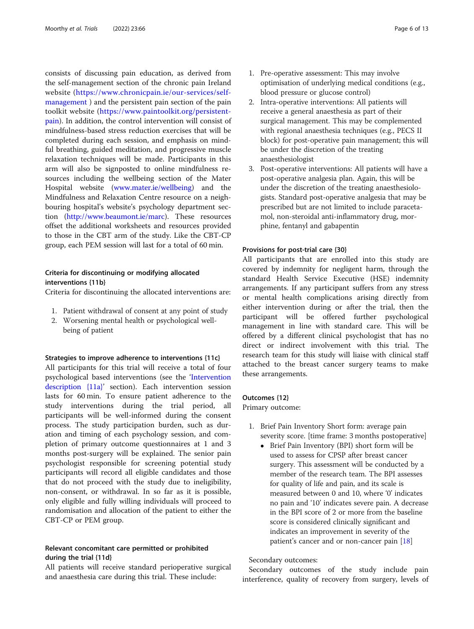<span id="page-5-0"></span>consists of discussing pain education, as derived from the self-management section of the chronic pain Ireland website [\(https://www.chronicpain.ie/our-services/self](https://www.chronicpain.ie/our-services/self-management)[management](https://www.chronicpain.ie/our-services/self-management) ) and the persistent pain section of the pain toolkit website [\(https://www.paintoolkit.org/persistent](https://www.paintoolkit.org/persistent-pain)[pain](https://www.paintoolkit.org/persistent-pain)). In addition, the control intervention will consist of mindfulness-based stress reduction exercises that will be completed during each session, and emphasis on mindful breathing, guided meditation, and progressive muscle relaxation techniques will be made. Participants in this arm will also be signposted to online mindfulness resources including the wellbeing section of the Mater Hospital website [\(www.mater.ie/wellbeing\)](https://www.mater.ie/wellbeing) and the Mindfulness and Relaxation Centre resource on a neighbouring hospital's website's psychology department section (<http://www.beaumont.ie/marc>). These resources offset the additional worksheets and resources provided to those in the CBT arm of the study. Like the CBT-CP group, each PEM session will last for a total of 60 min.

## Criteria for discontinuing or modifying allocated interventions {11b}

Criteria for discontinuing the allocated interventions are:

- 1. Patient withdrawal of consent at any point of study
- 2. Worsening mental health or psychological wellbeing of patient

#### Strategies to improve adherence to interventions {11c}

All participants for this trial will receive a total of four psychological based interventions (see the '[Intervention](#page-3-0) [description {11a}](#page-3-0)' section). Each intervention session lasts for 60 min. To ensure patient adherence to the study interventions during the trial period, all participants will be well-informed during the consent process. The study participation burden, such as duration and timing of each psychology session, and completion of primary outcome questionnaires at 1 and 3 months post-surgery will be explained. The senior pain psychologist responsible for screening potential study participants will record all eligible candidates and those that do not proceed with the study due to ineligibility, non-consent, or withdrawal. In so far as it is possible, only eligible and fully willing individuals will proceed to randomisation and allocation of the patient to either the CBT-CP or PEM group.

## Relevant concomitant care permitted or prohibited during the trial {11d}

All patients will receive standard perioperative surgical and anaesthesia care during this trial. These include:

- 1. Pre-operative assessment: This may involve optimisation of underlying medical conditions (e.g., blood pressure or glucose control)
- 2. Intra-operative interventions: All patients will receive a general anaesthesia as part of their surgical management. This may be complemented with regional anaesthesia techniques (e.g., PECS II block) for post-operative pain management; this will be under the discretion of the treating anaesthesiologist
- 3. Post-operative interventions: All patients will have a post-operative analgesia plan. Again, this will be under the discretion of the treating anaesthesiologists. Standard post-operative analgesia that may be prescribed but are not limited to include paracetamol, non-steroidal anti-inflammatory drug, morphine, fentanyl and gabapentin

#### Provisions for post-trial care {30}

All participants that are enrolled into this study are covered by indemnity for negligent harm, through the standard Health Service Executive (HSE) indemnity arrangements. If any participant suffers from any stress or mental health complications arising directly from either intervention during or after the trial, then the participant will be offered further psychological management in line with standard care. This will be offered by a different clinical psychologist that has no direct or indirect involvement with this trial. The research team for this study will liaise with clinical staff attached to the breast cancer surgery teams to make these arrangements.

## Outcomes {12}

Primary outcome:

- 1. Brief Pain Inventory Short form: average pain severity score. [time frame: 3 months postoperative]
	- Brief Pain Inventory (BPI) short form will be used to assess for CPSP after breast cancer surgery. This assessment will be conducted by a member of the research team. The BPI assesses for quality of life and pain, and its scale is measured between 0 and 10, where '0' indicates no pain and '10' indicates severe pain. A decrease in the BPI score of 2 or more from the baseline score is considered clinically significant and indicates an improvement in severity of the patient's cancer and or non-cancer pain [\[18\]](#page-11-0)

## Secondary outcomes:

Secondary outcomes of the study include pain interference, quality of recovery from surgery, levels of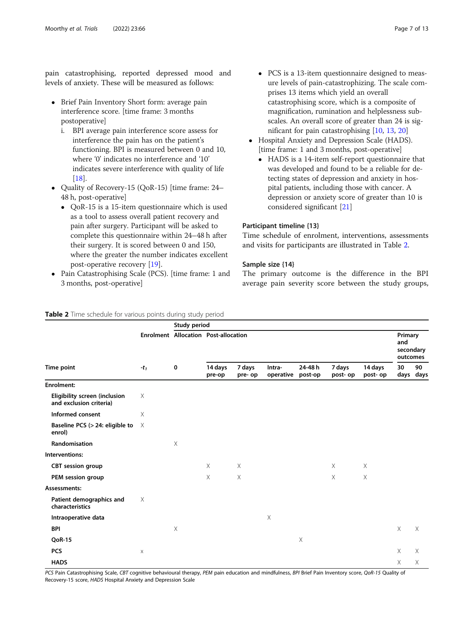pain catastrophising, reported depressed mood and levels of anxiety. These will be measured as follows:

- Brief Pain Inventory Short form: average pain interference score. [time frame: 3 months postoperative]
	- i. BPI average pain interference score assess for interference the pain has on the patient's functioning. BPI is measured between 0 and 10, where '0' indicates no interference and '10' indicates severe interference with quality of life [\[18](#page-11-0)].
- Quality of Recovery-15 (QoR-15) [time frame: 24– 48 h, post-operative]
	- QoR-15 is a 15-item questionnaire which is used as a tool to assess overall patient recovery and pain after surgery. Participant will be asked to complete this questionnaire within 24–48 h after their surgery. It is scored between 0 and 150, where the greater the number indicates excellent post-operative recovery [\[19\]](#page-11-0).
- Pain Catastrophising Scale (PCS). [time frame: 1 and 3 months, post-operative]

- PCS is a 13-item questionnaire designed to measure levels of pain-catastrophizing. The scale comprises 13 items which yield an overall catastrophising score, which is a composite of magnification, rumination and helplessness subscales. An overall score of greater than 24 is significant for pain catastrophising [\[10,](#page-11-0) [13](#page-11-0), [20](#page-11-0)]
- Hospital Anxiety and Depression Scale (HADS). [time frame: 1 and 3 months, post-operative]
	- HADS is a 14-item self-report questionnaire that was developed and found to be a reliable for detecting states of depression and anxiety in hospital patients, including those with cancer. A depression or anxiety score of greater than 10 is considered significant [[21\]](#page-11-0)

## Participant timeline {13}

Time schedule of enrolment, interventions, assessments and visits for participants are illustrated in Table 2.

## Sample size {14}

The primary outcome is the difference in the BPI average pain severity score between the study groups,

#### Table 2 Time schedule for various points during study period

|                                                          | $-t_1$      | Study period              |                                             |                   |                     |                   |                    |                     |                                         |                 |
|----------------------------------------------------------|-------------|---------------------------|---------------------------------------------|-------------------|---------------------|-------------------|--------------------|---------------------|-----------------------------------------|-----------------|
| Time point                                               |             | $\mathbf 0$               | <b>Enrolment Allocation Post-allocation</b> |                   |                     |                   |                    |                     | Primary<br>and<br>secondary<br>outcomes |                 |
|                                                          |             |                           | 14 days<br>pre-op                           | 7 days<br>pre- op | Intra-<br>operative | 24-48h<br>post-op | 7 days<br>post- op | 14 days<br>post- op | 30                                      | 90<br>days days |
| <b>Enrolment:</b>                                        |             |                           |                                             |                   |                     |                   |                    |                     |                                         |                 |
| Eligibility screen (inclusion<br>and exclusion criteria) | X           |                           |                                             |                   |                     |                   |                    |                     |                                         |                 |
| Informed consent                                         | X           |                           |                                             |                   |                     |                   |                    |                     |                                         |                 |
| Baseline PCS (> 24: eligible to<br>enrol)                | $\times$    |                           |                                             |                   |                     |                   |                    |                     |                                         |                 |
| Randomisation                                            |             | $\times$                  |                                             |                   |                     |                   |                    |                     |                                         |                 |
| Interventions:                                           |             |                           |                                             |                   |                     |                   |                    |                     |                                         |                 |
| <b>CBT</b> session group                                 |             |                           | $\times$                                    | $\times$          |                     |                   | $\times$           | X                   |                                         |                 |
| PEM session group                                        |             |                           | X                                           | $\times$          |                     |                   | X                  | $\mathsf X$         |                                         |                 |
| Assessments:                                             |             |                           |                                             |                   |                     |                   |                    |                     |                                         |                 |
| Patient demographics and<br>characteristics              | X           |                           |                                             |                   |                     |                   |                    |                     |                                         |                 |
| Intraoperative data                                      |             |                           |                                             |                   | Χ                   |                   |                    |                     |                                         |                 |
| <b>BPI</b>                                               |             | $\boldsymbol{\mathsf{X}}$ |                                             |                   |                     |                   |                    |                     | $\times$                                | $\times$        |
| <b>QoR-15</b>                                            |             |                           |                                             |                   |                     | $\times$          |                    |                     |                                         |                 |
| <b>PCS</b>                                               | $\mathsf X$ |                           |                                             |                   |                     |                   |                    |                     | $\times$                                | $\times$        |
| <b>HADS</b>                                              |             |                           |                                             |                   |                     |                   |                    |                     | X                                       | Χ               |

PCS Pain Catastrophising Scale, CBT cognitive behavioural therapy, PEM pain education and mindfulness, BPI Brief Pain Inventory score, QoR-15 Quality of Recovery-15 score, HADS Hospital Anxiety and Depression Scale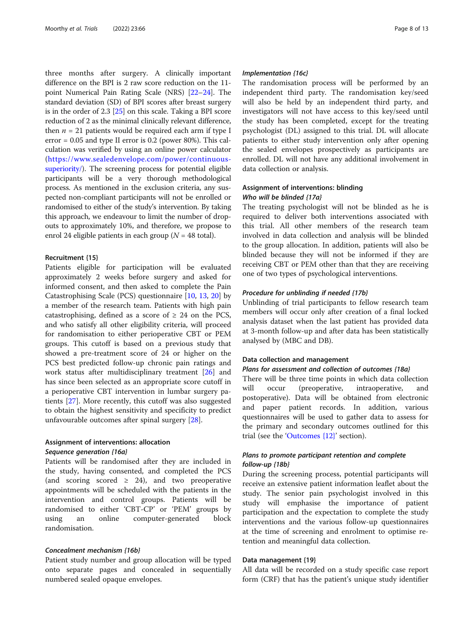three months after surgery. A clinically important difference on the BPI is 2 raw score reduction on the 11 point Numerical Pain Rating Scale (NRS) [\[22](#page-11-0)–[24\]](#page-11-0). The standard deviation (SD) of BPI scores after breast surgery is in the order of 2.3 [\[25](#page-11-0)] on this scale. Taking a BPI score reduction of 2 as the minimal clinically relevant difference, then  $n = 21$  patients would be required each arm if type I error = 0.05 and type II error is 0.2 (power 80%). This calculation was verified by using an online power calculator ([https://www.sealedenvelope.com/power/continuous](https://www.sealedenvelope.com/power/continuous-superiority/)[superiority/](https://www.sealedenvelope.com/power/continuous-superiority/)). The screening process for potential eligible participants will be a very thorough methodological process. As mentioned in the exclusion criteria, any suspected non-compliant participants will not be enrolled or randomised to either of the study's intervention. By taking this approach, we endeavour to limit the number of dropouts to approximately 10%, and therefore, we propose to enrol 24 eligible patients in each group ( $N = 48$  total).

#### Recruitment {15}

Patients eligible for participation will be evaluated approximately 2 weeks before surgery and asked for informed consent, and then asked to complete the Pain Catastrophising Scale (PCS) questionnaire [\[10](#page-11-0), [13,](#page-11-0) [20\]](#page-11-0) by a member of the research team. Patients with high pain catastrophising, defined as a score of  $\geq$  24 on the PCS, and who satisfy all other eligibility criteria, will proceed for randomisation to either perioperative CBT or PEM groups. This cutoff is based on a previous study that showed a pre-treatment score of 24 or higher on the PCS best predicted follow-up chronic pain ratings and work status after multidisciplinary treatment [\[26](#page-11-0)] and has since been selected as an appropriate score cutoff in a perioperative CBT intervention in lumbar surgery patients [[27\]](#page-11-0). More recently, this cutoff was also suggested to obtain the highest sensitivity and specificity to predict unfavourable outcomes after spinal surgery [[28](#page-11-0)].

## Assignment of interventions: allocation Sequence generation {16a}

Patients will be randomised after they are included in the study, having consented, and completed the PCS (and scoring scored  $\geq$  24), and two preoperative appointments will be scheduled with the patients in the intervention and control groups. Patients will be randomised to either 'CBT-CP' or 'PEM' groups by using an online computer-generated block randomisation.

#### Concealment mechanism {16b}

Patient study number and group allocation will be typed onto separate pages and concealed in sequentially numbered sealed opaque envelopes.

#### Implementation {16c}

The randomisation process will be performed by an independent third party. The randomisation key/seed will also be held by an independent third party, and investigators will not have access to this key/seed until the study has been completed, except for the treating psychologist (DL) assigned to this trial. DL will allocate patients to either study intervention only after opening the sealed envelopes prospectively as participants are enrolled. DL will not have any additional involvement in data collection or analysis.

## Assignment of interventions: blinding Who will be blinded {17a}

The treating psychologist will not be blinded as he is required to deliver both interventions associated with this trial. All other members of the research team involved in data collection and analysis will be blinded to the group allocation. In addition, patients will also be blinded because they will not be informed if they are receiving CBT or PEM other than that they are receiving one of two types of psychological interventions.

### Procedure for unblinding if needed {17b}

Unblinding of trial participants to fellow research team members will occur only after creation of a final locked analysis dataset when the last patient has provided data at 3-month follow-up and after data has been statistically analysed by (MBC and DB).

#### Data collection and management

## Plans for assessment and collection of outcomes {18a}

There will be three time points in which data collection will occur (preoperative, intraoperative, and postoperative). Data will be obtained from electronic and paper patient records. In addition, various questionnaires will be used to gather data to assess for the primary and secondary outcomes outlined for this trial (see the '[Outcomes {12}](#page-5-0)' section).

## Plans to promote participant retention and complete follow-up {18b}

During the screening process, potential participants will receive an extensive patient information leaflet about the study. The senior pain psychologist involved in this study will emphasise the importance of patient participation and the expectation to complete the study interventions and the various follow-up questionnaires at the time of screening and enrolment to optimise retention and meaningful data collection.

#### Data management {19}

All data will be recorded on a study specific case report form (CRF) that has the patient's unique study identifier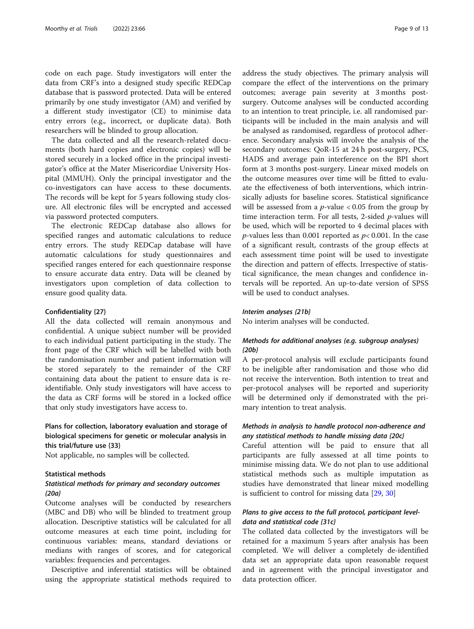code on each page. Study investigators will enter the data from CRF's into a designed study specific REDCap database that is password protected. Data will be entered primarily by one study investigator (AM) and verified by a different study investigator (CE) to minimise data entry errors (e.g., incorrect, or duplicate data). Both researchers will be blinded to group allocation.

The data collected and all the research-related documents (both hard copies and electronic copies) will be stored securely in a locked office in the principal investigator's office at the Mater Misericordiae University Hospital (MMUH). Only the principal investigator and the co-investigators can have access to these documents. The records will be kept for 5 years following study closure. All electronic files will be encrypted and accessed via password protected computers.

The electronic REDCap database also allows for specified ranges and automatic calculations to reduce entry errors. The study REDCap database will have automatic calculations for study questionnaires and specified ranges entered for each questionnaire response to ensure accurate data entry. Data will be cleaned by investigators upon completion of data collection to ensure good quality data.

#### Confidentiality {27}

All the data collected will remain anonymous and confidential. A unique subject number will be provided to each individual patient participating in the study. The front page of the CRF which will be labelled with both the randomisation number and patient information will be stored separately to the remainder of the CRF containing data about the patient to ensure data is reidentifiable. Only study investigators will have access to the data as CRF forms will be stored in a locked office that only study investigators have access to.

## Plans for collection, laboratory evaluation and storage of biological specimens for genetic or molecular analysis in this trial/future use {33}

Not applicable, no samples will be collected.

## Statistical methods

## Statistical methods for primary and secondary outcomes {20a}

Outcome analyses will be conducted by researchers (MBC and DB) who will be blinded to treatment group allocation. Descriptive statistics will be calculated for all outcome measures at each time point, including for continuous variables: means, standard deviations or medians with ranges of scores, and for categorical variables: frequencies and percentages.

Descriptive and inferential statistics will be obtained using the appropriate statistical methods required to address the study objectives. The primary analysis will compare the effect of the interventions on the primary outcomes; average pain severity at 3 months postsurgery. Outcome analyses will be conducted according to an intention to treat principle, i.e. all randomised participants will be included in the main analysis and will be analysed as randomised, regardless of protocol adherence. Secondary analysis will involve the analysis of the secondary outcomes: QoR-15 at 24 h post-surgery, PCS, HADS and average pain interference on the BPI short form at 3 months post-surgery. Linear mixed models on the outcome measures over time will be fitted to evaluate the effectiveness of both interventions, which intrinsically adjusts for baseline scores. Statistical significance will be assessed from a  $p$ -value < 0.05 from the group by time interaction term. For all tests, 2-sided p-values will be used, which will be reported to 4 decimal places with *p*-values less than 0.001 reported as  $p < 0.001$ . In the case of a significant result, contrasts of the group effects at each assessment time point will be used to investigate the direction and pattern of effects. Irrespective of statistical significance, the mean changes and confidence intervals will be reported. An up-to-date version of SPSS will be used to conduct analyses.

#### Interim analyses {21b}

No interim analyses will be conducted.

## Methods for additional analyses (e.g. subgroup analyses) {20b}

A per-protocol analysis will exclude participants found to be ineligible after randomisation and those who did not receive the intervention. Both intention to treat and per-protocol analyses will be reported and superiority will be determined only if demonstrated with the primary intention to treat analysis.

## Methods in analysis to handle protocol non-adherence and any statistical methods to handle missing data {20c}

Careful attention will be paid to ensure that all participants are fully assessed at all time points to minimise missing data. We do not plan to use additional statistical methods such as multiple imputation as studies have demonstrated that linear mixed modelling is sufficient to control for missing data [[29,](#page-11-0) [30](#page-11-0)]

## Plans to give access to the full protocol, participant leveldata and statistical code {31c}

The collated data collected by the investigators will be retained for a maximum 5 years after analysis has been completed. We will deliver a completely de-identified data set an appropriate data upon reasonable request and in agreement with the principal investigator and data protection officer.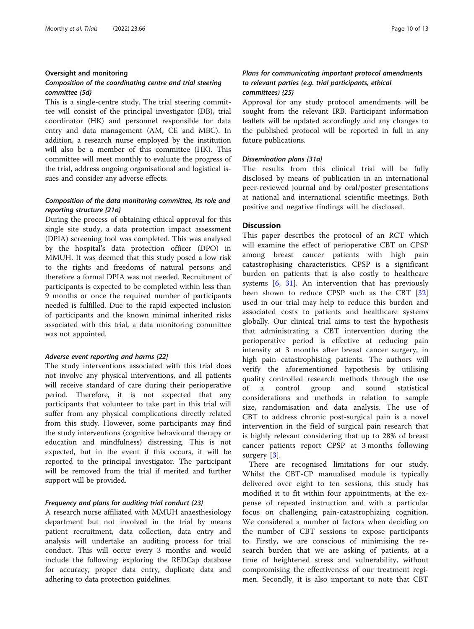#### Oversight and monitoring

## Composition of the coordinating centre and trial steering committee {5d}

This is a single-centre study. The trial steering committee will consist of the principal investigator (DB), trial coordinator (HK) and personnel responsible for data entry and data management (AM, CE and MBC). In addition, a research nurse employed by the institution will also be a member of this committee (HK). This committee will meet monthly to evaluate the progress of the trial, address ongoing organisational and logistical issues and consider any adverse effects.

## Composition of the data monitoring committee, its role and reporting structure {21a}

During the process of obtaining ethical approval for this single site study, a data protection impact assessment (DPIA) screening tool was completed. This was analysed by the hospital's data protection officer (DPO) in MMUH. It was deemed that this study posed a low risk to the rights and freedoms of natural persons and therefore a formal DPIA was not needed. Recruitment of participants is expected to be completed within less than 9 months or once the required number of participants needed is fulfilled. Due to the rapid expected inclusion of participants and the known minimal inherited risks associated with this trial, a data monitoring committee was not appointed.

#### Adverse event reporting and harms {22}

The study interventions associated with this trial does not involve any physical interventions, and all patients will receive standard of care during their perioperative period. Therefore, it is not expected that any participants that volunteer to take part in this trial will suffer from any physical complications directly related from this study. However, some participants may find the study interventions (cognitive behavioural therapy or education and mindfulness) distressing. This is not expected, but in the event if this occurs, it will be reported to the principal investigator. The participant will be removed from the trial if merited and further support will be provided.

### Frequency and plans for auditing trial conduct {23}

A research nurse affiliated with MMUH anaesthesiology department but not involved in the trial by means patient recruitment, data collection, data entry and analysis will undertake an auditing process for trial conduct. This will occur every 3 months and would include the following: exploring the REDCap database for accuracy, proper data entry, duplicate data and adhering to data protection guidelines.

## Plans for communicating important protocol amendments to relevant parties (e.g. trial participants, ethical committees) {25}

Approval for any study protocol amendments will be sought from the relevant IRB. Participant information leaflets will be updated accordingly and any changes to the published protocol will be reported in full in any future publications.

## Dissemination plans {31a}

The results from this clinical trial will be fully disclosed by means of publication in an international peer-reviewed journal and by oral/poster presentations at national and international scientific meetings. Both positive and negative findings will be disclosed.

## **Discussion**

This paper describes the protocol of an RCT which will examine the effect of perioperative CBT on CPSP among breast cancer patients with high pain catastrophising characteristics. CPSP is a significant burden on patients that is also costly to healthcare systems [[6,](#page-11-0) [31\]](#page-11-0). An intervention that has previously been shown to reduce CPSP such as the CBT [\[32](#page-11-0)] used in our trial may help to reduce this burden and associated costs to patients and healthcare systems globally. Our clinical trial aims to test the hypothesis that administrating a CBT intervention during the perioperative period is effective at reducing pain intensity at 3 months after breast cancer surgery, in high pain catastrophising patients. The authors will verify the aforementioned hypothesis by utilising quality controlled research methods through the use of a control group and sound statistical considerations and methods in relation to sample size, randomisation and data analysis. The use of CBT to address chronic post-surgical pain is a novel intervention in the field of surgical pain research that is highly relevant considering that up to 28% of breast cancer patients report CPSP at 3 months following surgery [\[3](#page-11-0)].

There are recognised limitations for our study. Whilst the CBT-CP manualised module is typically delivered over eight to ten sessions, this study has modified it to fit within four appointments, at the expense of repeated instruction and with a particular focus on challenging pain-catastrophizing cognition. We considered a number of factors when deciding on the number of CBT sessions to expose participants to. Firstly, we are conscious of minimising the research burden that we are asking of patients, at a time of heightened stress and vulnerability, without compromising the effectiveness of our treatment regimen. Secondly, it is also important to note that CBT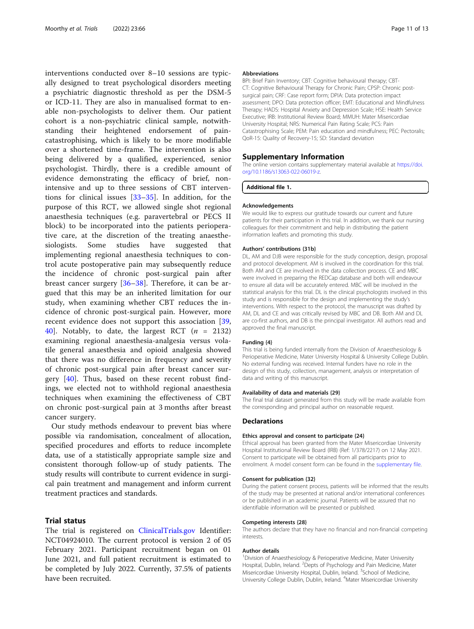interventions conducted over 8–10 sessions are typically designed to treat psychological disorders meeting a psychiatric diagnostic threshold as per the DSM-5 or ICD-11. They are also in manualised format to enable non-psychologists to deliver them. Our patient cohort is a non-psychiatric clinical sample, notwithstanding their heightened endorsement of paincatastrophising, which is likely to be more modifiable over a shortened time-frame. The intervention is also being delivered by a qualified, experienced, senior psychologist. Thirdly, there is a credible amount of evidence demonstrating the efficacy of brief, nonintensive and up to three sessions of CBT interventions for clinical issues  $[33-35]$  $[33-35]$  $[33-35]$  $[33-35]$ . In addition, for the purpose of this RCT, we allowed single shot regional anaesthesia techniques (e.g. paravertebral or PECS II block) to be incorporated into the patients perioperative care, at the discretion of the treating anaesthesiologists. Some studies have suggested that implementing regional anaesthesia techniques to control acute postoperative pain may subsequently reduce the incidence of chronic post-surgical pain after breast cancer surgery [\[36](#page-12-0)–[38](#page-12-0)]. Therefore, it can be argued that this may be an inherited limitation for our study, when examining whether CBT reduces the incidence of chronic post-surgical pain. However, more recent evidence does not support this association [\[39](#page-12-0), [40\]](#page-12-0). Notably, to date, the largest RCT  $(n = 2132)$ examining regional anaesthesia-analgesia versus volatile general anaesthesia and opioid analgesia showed that there was no difference in frequency and severity of chronic post-surgical pain after breast cancer surgery  $[40]$  $[40]$ . Thus, based on these recent robust findings, we elected not to withhold regional anaesthesia techniques when examining the effectiveness of CBT on chronic post-surgical pain at 3 months after breast cancer surgery.

Our study methods endeavour to prevent bias where possible via randomisation, concealment of allocation, specified procedures and efforts to reduce incomplete data, use of a statistically appropriate sample size and consistent thorough follow-up of study patients. The study results will contribute to current evidence in surgical pain treatment and management and inform current treatment practices and standards.

## Trial status

The trial is registered on [ClinicalTrials.gov](http://clinicaltrials.gov) Identifier: NCT04924010. The current protocol is version 2 of 05 February 2021. Participant recruitment began on 01 June 2021, and full patient recruitment is estimated to be completed by July 2022. Currently, 37.5% of patients have been recruited.

#### Abbreviations

BPI: Brief Pain Inventory; CBT: Cognitive behavioural therapy; CBT-CT: Cognitive Behavioural Therapy for Chronic Pain; CPSP: Chronic postsurgical pain; CRF: Case report form; DPIA: Data protection impact assessment; DPO: Data protection officer; EMT: Educational and Mindfulness Therapy; HADS: Hospital Anxiety and Depression Scale; HSE: Health Service Executive; IRB: Institutional Review Board; MMUH: Mater Misericordiae University Hospital; NRS: Numerical Pain Rating Scale; PCS: Pain Catastrophising Scale; PEM: Pain education and mindfulness; PEC: Pectoralis; QoR-15: Quality of Recovery-15; SD: Standard deviation

#### Supplementary Information

The online version contains supplementary material available at [https://doi.](https://doi.org/10.1186/s13063-022-06019-z) [org/10.1186/s13063-022-06019-z](https://doi.org/10.1186/s13063-022-06019-z).

Additional file 1.

#### Acknowledgements

We would like to express our gratitude towards our current and future patients for their participation in this trial. In addition, we thank our nursing colleagues for their commitment and help in distributing the patient information leaflets and promoting this study.

#### Authors' contributions {31b}

DL, AM and DJB were responsible for the study conception, design, proposal and protocol development. AM is involved in the coordination for this trial. Both AM and CE are involved in the data collection process. CE and MBC were involved in preparing the REDCap database and both will endeavour to ensure all data will be accurately entered. MBC will be involved in the statistical analysis for this trial. DL is the clinical psychologists involved in this study and is responsible for the design and implementing the study's interventions. With respect to the protocol, the manuscript was drafted by AM, DL and CE and was critically revised by MBC and DB. Both AM and DL are co-first authors, and DB is the principal investigator. All authors read and approved the final manuscript.

#### Funding {4}

This trial is being funded internally from the Division of Anaesthesiology & Perioperative Medicine, Mater University Hospital & University College Dublin. No external funding was received. Internal funders have no role in the design of this study, collection, management, analysis or interpretation of data and writing of this manuscript.

#### Availability of data and materials {29}

The final trial dataset generated from this study will be made available from the corresponding and principal author on reasonable request.

#### **Declarations**

#### Ethics approval and consent to participate {24}

Ethical approval has been granted from the Mater Misericordiae University Hospital Institutional Review Board (IRB) (Ref: 1/378/2217) on 12 May 2021. Consent to participate will be obtained from all participants prior to enrolment. A model consent form can be found in the supplementary file.

#### Consent for publication {32}

During the patient consent process, patients will be informed that the results of the study may be presented at national and/or international conferences or be published in an academic journal. Patients will be assured that no identifiable information will be presented or published.

#### Competing interests {28}

The authors declare that they have no financial and non-financial competing interests.

#### Author details

<sup>1</sup> Division of Anaesthesiology & Perioperative Medicine, Mater University Hospital, Dublin, Ireland. <sup>2</sup>Depts of Psychology and Pain Medicine, Mater Misericordiae University Hospital, Dublin, Ireland. <sup>3</sup>School of Medicine, University College Dublin, Dublin, Ireland. <sup>4</sup>Mater Misericordiae University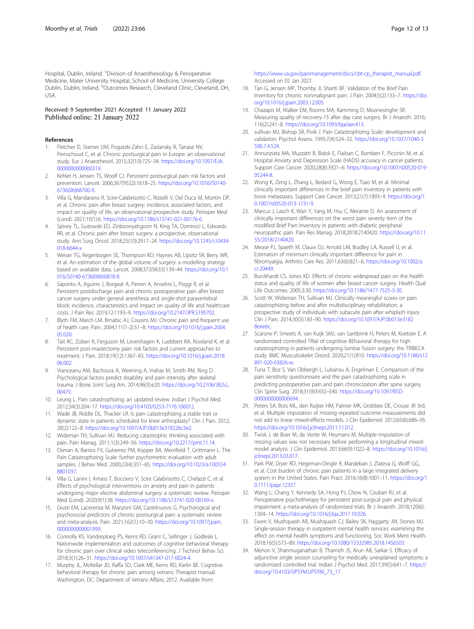<span id="page-11-0"></span>Hospital, Dublin, Ireland. <sup>5</sup>Division of Anaesthesiology & Perioperative Medicine, Mater University Hospital, School of Medicine, University College Dublin, Dublin, Ireland. <sup>6</sup>Outcomes Research, Cleveland Clinic, Cleveland, OH, USA.

#### Received: 9 September 2021 Accepted: 11 January 2022 Published online: 21 January 2022

#### References

- 1. Fletcher D, Stamer UM, Pogatzki-Zahn E, Zaslansky R, Tanase NV, Perruchoud C, et al. Chronic postsurgical pain in Europe: an observational study. Eur J Anaesthesiol. 2015;32(10):725–34. [https://doi.org/10.1097/EJA.](https://doi.org/10.1097/EJA.0000000000000319) [0000000000000319](https://doi.org/10.1097/EJA.0000000000000319).
- 2. Kehlet H, Jensen TS, Woolf CJ. Persistent postsurgical pain: risk factors and prevention. Lancet. 2006;367(9522):1618–25. [https://doi.org/10.1016/S0140-](https://doi.org/10.1016/S0140-6736(06)68700-X) [6736\(06\)68700-X.](https://doi.org/10.1016/S0140-6736(06)68700-X)
- 3. Villa G, Mandarano R, Scire-Calabrisotto C, Rizzelli V, Del Duca M, Montin DP, et al. Chronic pain after breast surgery: incidence, associated factors, and impact on quality of life, an observational prospective study. Perioper Med (Lond). 2021;10(1):6. [https://doi.org/10.1186/s13741-021-00176-6.](https://doi.org/10.1186/s13741-021-00176-6)
- 4. Spivey TL, Gutowski ED, Zinboonyahgoon N, King TA, Dominici L, Edwards RR, et al. Chronic pain after breast surgery: a prospective, observational study. Ann Surg Oncol. 2018;25(10):2917–24. [https://doi.org/10.1245/s10434-](https://doi.org/10.1245/s10434-018-6644-x) [018-6644-x.](https://doi.org/10.1245/s10434-018-6644-x)
- 5. Weiser TG, Regenbogen SE, Thompson KD, Haynes AB, Lipsitz SR, Berry WR, et al. An estimation of the global volume of surgery: a modelling strategy based on available data. Lancet. 2008;372(9633):139–44. [https://doi.org/10.1](https://doi.org/10.1016/S0140-6736(08)60878-8) [016/S0140-6736\(08\)60878-8](https://doi.org/10.1016/S0140-6736(08)60878-8).
- Saporito A, Aguirre J, Borgeat A, Perren A, Anselmi L, Poggi R, et al. Persistent postdischarge pain and chronic postoperative pain after breast cancer surgery under general anesthesia and single-shot paravertebral block: incidence, characteristics and impact on quality of life and healthcare costs. J Pain Res. 2019;12:1193–9. <https://doi.org/10.2147/JPR.S195702>.
- 7. Blyth FM, March LM, Brnabic AJ, Cousins MJ. Chronic pain and frequent use of health care. Pain. 2004;111(1-2):51–8. [https://doi.org/10.1016/j.pain.2004.](https://doi.org/10.1016/j.pain.2004.05.020) [05.020.](https://doi.org/10.1016/j.pain.2004.05.020)
- Tait RC, Zoberi K, Ferguson M, Levenhagen K, Luebbert RA, Rowland K, et al. Persistent post-mastectomy pain: risk factors and current approaches to treatment. J Pain. 2018;19(12):1367–83. [https://doi.org/10.1016/j.jpain.2018.](https://doi.org/10.1016/j.jpain.2018.06.002) [06.002.](https://doi.org/10.1016/j.jpain.2018.06.002)
- 9. Vranceanu AM, Bachoura A, Weening A, Vrahas M, Smith RM, Ring D. Psychological factors predict disability and pain intensity after skeletal trauma. J Bone Joint Surg Am. 2014;96(3):e20. [https://doi.org/10.2106/JBJS.L.](https://doi.org/10.2106/JBJS.L.00479) [00479.](https://doi.org/10.2106/JBJS.L.00479)
- 10. Leung L. Pain catastrophizing: an updated review. Indian J Psychol Med. 2012;34(3):204–17. [https://doi.org/10.4103/0253-7176.106012.](https://doi.org/10.4103/0253-7176.106012)
- 11. Wade JB, Riddle DL, Thacker LR. Is pain catastrophizing a stable trait or dynamic state in patients scheduled for knee arthroplasty? Clin J Pain. 2012; 28(2):122–8. [https://doi.org/10.1097/AJP.0b013e318226c3e2.](https://doi.org/10.1097/AJP.0b013e318226c3e2)
- 12. Wideman TH, Sullivan MJ. Reducing catastrophic thinking associated with pain. Pain Manag. 2011;1(3):249–56. [https://doi.org/10.2217/pmt.11.14.](https://doi.org/10.2217/pmt.11.14)
- 13. Osman A, Barrios FX, Gutierrez PM, Kopper BA, Merrifield T, Grittmann L. The Pain Catastrophizing Scale: further psychometric evaluation with adult samples. J Behav Med. 2000;23(4):351–65. [https://doi.org/10.1023/a:100554](https://doi.org/10.1023/a:1005548801037) [8801037.](https://doi.org/10.1023/a:1005548801037)
- 14. Villa G, Lanini I, Amass T, Bocciero V, Scire Calabrisotto C, Chelazzi C, et al. Effects of psychological interventions on anxiety and pain in patients undergoing major elective abdominal surgery: a systematic review. Perioper Med (Lond). 2020;9(1):38. <https://doi.org/10.1186/s13741-020-00169-x>.
- 15. Giusti EM, Lacerenza M, Manzoni GM, Castelnuovo G. Psychological and psychosocial predictors of chronic postsurgical pain: a systematic review and meta-analysis. Pain. 2021;162(1):10–30. [https://doi.org/10.1097/j.pain.](https://doi.org/10.1097/j.pain.0000000000001999) [0000000000001999](https://doi.org/10.1097/j.pain.0000000000001999).
- 16. Connolly KS, Vanderploeg PS, Kerns RD, Grant C, Sellinger J, Godleski L. Nationwide implementation and outcomes of cognitive behavioral therapy for chronic pain over clinical video teleconferencing. J Technol Behav Sci. 2018;3(1):26–31. <https://doi.org/10.1007/s41347-017-0024-4>.
- 17. Murphy JL, McKellar JD, Raffa SD, Clark ME, Kerns RD, Karlin BE. Cognitive behavioral therapy for chronic pain among vetrans: Therapist manual. Washington, DC: Department of Vetrans Affairs; 2012. Available from:

[https://www.va.gov/painmanagement/docs/cbt-cp\\_therapist\\_manual.pdf.](https://www.va.gov/painmanagement/docs/cbt-cp_therapist_manual.pdf) Accessed on 02 Jan 2021

- 18. Tan G, Jensen MP, Thornby JI, Shanti BF. Validation of the Brief Pain Inventory for chronic nonmalignant pain. J Pain. 2004;5(2):133–7. [https://doi.](https://doi.org/10.1016/j.jpain.2003.12.005) [org/10.1016/j.jpain.2003.12.005.](https://doi.org/10.1016/j.jpain.2003.12.005)
- 19. Chazapis M, Walker EM, Rooms MA, Kamming D, Moonesinghe SR. Measuring quality of recovery-15 after day case surgery. Br J Anaesth. 2016; 116(2):241–8. <https://doi.org/10.1093/bja/aev413>.
- 20. sullivan MJ, Bishop SR, Pivik J. Pain Catastrophizing Scale: development and validation. Psychol Assess. 1995;7(4):524–32. [https://doi.org/10.1037/1040-3](https://doi.org/10.1037/1040-3590.7.4.524) [590.7.4.524.](https://doi.org/10.1037/1040-3590.7.4.524)
- 21. Annunziata MA, Muzzatti B, Bidoli E, Flaiban C, Bomben F, Piccinin M, et al. Hospital Anxiety and Depression Scale (HADS) accuracy in cancer patients. Support Care Cancer. 2020;28(8):3921–6. [https://doi.org/10.1007/s00520-019-](https://doi.org/10.1007/s00520-019-05244-8) [05244-8](https://doi.org/10.1007/s00520-019-05244-8).
- 22. Wong K, Zeng L, Zhang L, Bedard G, Wong E, Tsao M, et al. Minimal clinically important differences in the brief pain inventory in patients with bone metastases. Support Care Cancer. 2013;21(7):1893–9. [https://doi.org/1](https://doi.org/10.1007/s00520-013-1731-9) [0.1007/s00520-013-1731-9.](https://doi.org/10.1007/s00520-013-1731-9)
- 23. Marcus J, Lasch K, Wan Y, Yang M, Hsu C, Merante D. An assessment of clinically important differences on the worst pain severity item of the modified Brief Pain Inventory in patients with diabetic peripheral neuropathic pain. Pain Res Manag. 2018;2018:2140420. [https://doi.org/10.11](https://doi.org/10.1155/2018/2140420) [55/2018/2140420.](https://doi.org/10.1155/2018/2140420)
- 24. Mease PJ, Spaeth M, Clauw DJ, Arnold LM, Bradley LA, Russell IJ, et al. Estimation of minimum clinically important difference for pain in fibromyalgia. Arthritis Care Res. 2011;63(6):821–6. [https://doi.org/10.1002/a](https://doi.org/10.1002/acr.20449) [cr.20449](https://doi.org/10.1002/acr.20449).
- 25. Burckhardt CS, Jones KD. Effects of chronic widespread pain on the health status and quality of life of women after breast cancer surgery. Health Qual Life Outcomes. 2005;3:30. <https://doi.org/10.1186/1477-7525-3-30>.
- 26. Scott W, Wideman TH, Sullivan MJ. Clinically meaningful scores on pain catastrophizing before and after multidisciplinary rehabilitation: a prospective study of individuals with subacute pain after whiplash injury. Clin J Pain. 2014;30(3):183–90. [https://doi.org/10.1097/AJP.0b013e3182](https://doi.org/10.1097/AJP.0b013e31828eee6c) [8eee6c.](https://doi.org/10.1097/AJP.0b013e31828eee6c)
- 27. Scarone P, Smeets A, van Kuijk SMJ, van Santbrink H, Peters M, Koetsier E. A randomized controlled TRIal of cognitive BEhavioral therapy for high catastrophizing in patients undergoing lumbar fusion surgery: the TRIBECA study. BMC Musculoskelet Disord. 2020;21(1):810. [https://doi.org/10.1186/s12](https://doi.org/10.1186/s12891-020-03826-w) [891-020-03826-w.](https://doi.org/10.1186/s12891-020-03826-w)
- 28. Tuna T, Boz S, Van Obbergh L, Lubansu A, Engelman E. Comparison of the pain sensitivity questionnaire and the pain catastrophizing scale in predicting postoperative pain and pain chronicization after spine surgery. Clin Spine Surg. 2018;31(9):E432–E40. [https://doi.org/10.1097/BSD.](https://doi.org/10.1097/BSD.0000000000000694) [0000000000000694](https://doi.org/10.1097/BSD.0000000000000694).
- 29. Peters SA, Bots ML, den Ruijter HM, Palmer MK, Grobbee DE, Crouse JR 3rd, et al. Multiple imputation of missing repeated outcome measurements did not add to linear mixed-effects models. J Clin Epidemiol. 2012;65(6):686–95. [https://doi.org/10.1016/j.jclinepi.2011.11.012.](https://doi.org/10.1016/j.jclinepi.2011.11.012)
- 30. Twisk J, de Boer M, de Vente W, Heymans M. Multiple imputation of missing values was not necessary before performing a longitudinal mixedmodel analysis. J Clin Epidemiol. 2013;66(9):1022–8. [https://doi.org/10.1016/j.](https://doi.org/10.1016/j.jclinepi.2013.03.017) [jclinepi.2013.03.017](https://doi.org/10.1016/j.jclinepi.2013.03.017).
- 31. Park PW, Dryer RD, Hegeman-Dingle R, Mardekian J, Zlateva G, Wolff GG, et al. Cost burden of chronic pain patients in a large integrated delivery system in the United States. Pain Pract. 2016;16(8):1001–11. [https://doi.org/1](https://doi.org/10.1111/papr.12357) [0.1111/papr.12357.](https://doi.org/10.1111/papr.12357)
- 32. Wang L, Chang Y, Kennedy SA, Hong PJ, Chow N, Couban RJ, et al. Perioperative psychotherapy for persistent post-surgical pain and physical impairment: a meta-analysis of randomised trials. Br J Anaesth. 2018;120(6): 1304–14. [https://doi.org/10.1016/j.bja.2017.10.026.](https://doi.org/10.1016/j.bja.2017.10.026)
- 33. Ewen V, Mushquash AR, Mushquash CJ, Bailey SK, Haggarty JM, Stones MJ. Single-session therapy in outpatient mental health services: examining the effect on mental health symptoms and functioning. Soc Work Ment Health. 2018;16(5):573–89. <https://doi.org/10.1080/15332985.2018.1456503>.
- 34. Menon V, Shanmuganathan B, Thamizh JS, Arun AB, Sarkar S. Efficacy of adjunctive single session counseling for medically unexplained symptoms: a randomized controlled trial. Indian J Psychol Med. 2017;39(5):641–7. [https://](https://doi.org/10.4103/IJPSYM.IJPSYM_73_17) [doi.org/10.4103/IJPSYM.IJPSYM\\_73\\_17.](https://doi.org/10.4103/IJPSYM.IJPSYM_73_17)